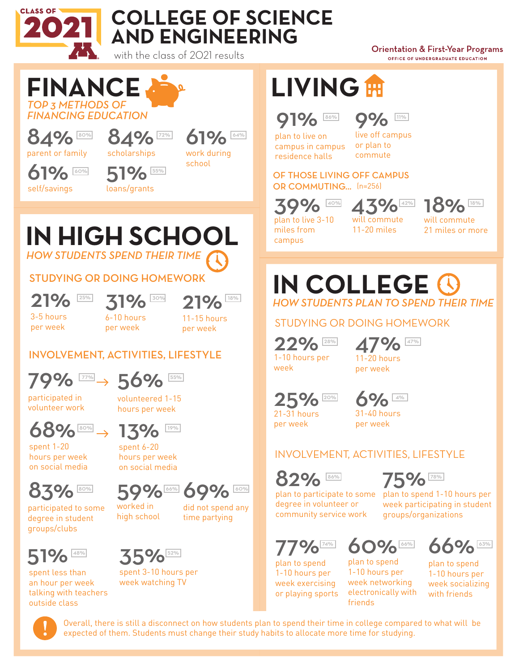

# **COLLEGE OF SCIENCE AND ENGINEERING**

with the class of 2021 results

72%

55%

#### **Orientation & First-Year Programs** OFFICE OF UNDERGRADUATE EDUCATION

#### *TOP 3 METHODS OF FINANCING EDUCATION* **FINANCE**

84% parent or family 80%

60%

61% self/savings 84%

51% loans/grants

scholarships

61% work during school

64%

**LIVING**

#### 91% 86% **004** 11%

plan to live on campus in campus residence halls

9% live off campus or plan to commute

OF THOSE LIVING OFF CAMPUS OR COMMUTING... (n=256)

39% plan to live 3-10

miles from campus

will commute

11-20 miles

 $43\%$  18%

will commute 21 miles or more

## *HOW STUDENTS SPEND THEIR TIME* **IN HIGH SCHOOL**

#### STUDYING OR DOING HOMEWORK

21% 3-5 hours

per week

 $31\%$  31% 21% 6-10 hours

21% 11-15 hours per week

#### INVOLVEMENT, ACTIVITIES, LIFESTYLE

per week



participated in volunteer work

spent 1-20 hours per week on social media

volunteered 1-15 hours per week



13% spent 6-20

> worked in high school

hours per week on social media



did not spend any time partying



83%

participated to some degree in student groups/clubs

spent less than an hour per week talking with teachers outside class



spent 3-10 hours per week watching TV

*HOW STUDENTS PLAN TO SPEND THEIR TIME* **IN COLLEGE**

STUDYING OR DOING HOMEWORK

22% 1-10 hours per week

47% 11-20 hours per week 28% **47%** 

25% 21-31 hours



per week

31-40 hours per week

#### INVOLVEMENT, ACTIVITIES, LIFESTYLE



plan to participate to some plan to spend 1-10 hours per degree in volunteer or community service work

week participating in student groups/organizations

86% **78%** 78%

75%

**9** plan to spend

1-10 hours per week exercising or playing sports

60% plan to spend 1-10 hours per



week networking electronically with friends



Overall, there is still a disconnect on how students plan to spend their time in college compared to what will be expected of them. Students must change their study habits to allocate more time for studying.